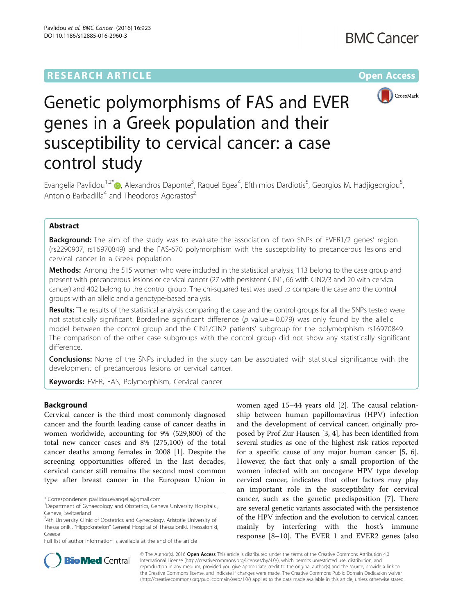# **RESEARCH ARTICLE Example 2014 12:30 The Contract of Contract ACCESS**



# Genetic polymorphisms of FAS and EVER genes in a Greek population and their susceptibility to cervical cancer: a case control study

Evangelia Pavlidou<sup>1[,](http://orcid.org/0000-0002-7906-8977)2\*</sup>®, Alexandros Daponte<sup>3</sup>, Raquel Egea<sup>4</sup>, Efthimios Dardiotis<sup>5</sup>, Georgios M. Hadjigeorgiou<sup>5</sup> , Antonio Barbadilla<sup>4</sup> and Theodoros Agorastos<sup>2</sup>

# Abstract

**Background:** The aim of the study was to evaluate the association of two SNPs of EVER1/2 genes' region (rs2290907, rs16970849) and the FAS-670 polymorphism with the susceptibility to precancerous lesions and cervical cancer in a Greek population.

**Methods:** Among the 515 women who were included in the statistical analysis, 113 belong to the case group and present with precancerous lesions or cervical cancer (27 with persistent CIN1, 66 with CIN2/3 and 20 with cervical cancer) and 402 belong to the control group. The chi-squared test was used to compare the case and the control groups with an allelic and a genotype-based analysis.

Results: The results of the statistical analysis comparing the case and the control groups for all the SNPs tested were not statistically significant. Borderline significant difference ( $p$  value = 0.079) was only found by the allelic model between the control group and the CIN1/CIN2 patients' subgroup for the polymorphism rs16970849. The comparison of the other case subgroups with the control group did not show any statistically significant difference.

**Conclusions:** None of the SNPs included in the study can be associated with statistical significance with the development of precancerous lesions or cervical cancer.

Keywords: EVER, FAS, Polymorphism, Cervical cancer

# Background

Cervical cancer is the third most commonly diagnosed cancer and the fourth leading cause of cancer deaths in women worldwide, accounting for 9% (529,800) of the total new cancer cases and 8% (275,100) of the total cancer deaths among females in 2008 [\[1](#page-5-0)]. Despite the screening opportunities offered in the last decades, cervical cancer still remains the second most common type after breast cancer in the European Union in

\* Correspondence: [pavlidou.evangelia@gmail.com](mailto:pavlidou.evangelia@gmail.com) <sup>1</sup>

Full list of author information is available at the end of the article

women aged 15–44 years old [\[2](#page-5-0)]. The causal relationship between human papillomavirus (HPV) infection and the development of cervical cancer, originally proposed by Prof Zur Hausen [\[3](#page-5-0), [4](#page-5-0)], has been identified from several studies as one of the highest risk ratios reported for a specific cause of any major human cancer [[5, 6](#page-6-0)]. However, the fact that only a small proportion of the women infected with an oncogene HPV type develop cervical cancer, indicates that other factors may play an important role in the susceptibility for cervical cancer, such as the genetic predisposition [\[7](#page-6-0)]. There are several genetic variants associated with the persistence of the HPV infection and the evolution to cervical cancer, mainly by interfering with the host's immune response [[8](#page-6-0)–[10\]](#page-6-0). The EVER 1 and EVER2 genes (also



© The Author(s). 2016 Open Access This article is distributed under the terms of the Creative Commons Attribution 4.0 International License [\(http://creativecommons.org/licenses/by/4.0/](http://creativecommons.org/licenses/by/4.0/)), which permits unrestricted use, distribution, and reproduction in any medium, provided you give appropriate credit to the original author(s) and the source, provide a link to the Creative Commons license, and indicate if changes were made. The Creative Commons Public Domain Dedication waiver [\(http://creativecommons.org/publicdomain/zero/1.0/](http://creativecommons.org/publicdomain/zero/1.0/)) applies to the data made available in this article, unless otherwise stated.

<sup>&</sup>lt;sup>1</sup>Department of Gynaecology and Obstetrics, Geneva University Hospitals, Geneva, Switzerland

<sup>&</sup>lt;sup>2</sup>4th University Clinic of Obstetrics and Gynecology, Aristotle University of Thessaloniki, "Hippokrateion" General Hospital of Thessaloniki, Thessaloniki, Greece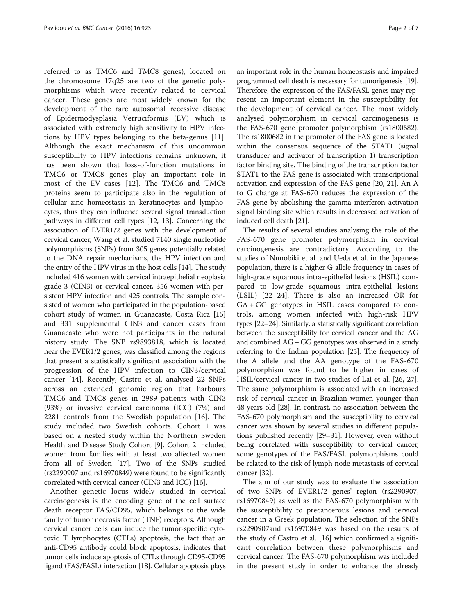referred to as TMC6 and TMC8 genes), located on the chromosome 17q25 are two of the genetic polymorphisms which were recently related to cervical cancer. These genes are most widely known for the development of the rare autosomal recessive disease of Epidermodysplasia Verruciformis (EV) which is associated with extremely high sensitivity to HPV infections by HPV types belonging to the beta-genus [\[11](#page-6-0)]. Although the exact mechanism of this uncommon susceptibility to HPV infections remains unknown, it has been shown that loss-of-function mutations in TMC6 or TMC8 genes play an important role in most of the EV cases [[12\]](#page-6-0). The TMC6 and TMC8 proteins seem to participate also in the regulation of cellular zinc homeostasis in keratinocytes and lymphocytes, thus they can influence several signal transduction pathways in different cell types [\[12](#page-6-0), [13\]](#page-6-0). Concerning the association of EVER1/2 genes with the development of cervical cancer, Wang et al. studied 7140 single nucleotide polymorphisms (SNPs) from 305 genes potentially related to the DNA repair mechanisms, the HPV infection and the entry of the HPV virus in the host cells [\[14\]](#page-6-0). The study included 416 women with cervical intraepithelial neoplasia grade 3 (CIN3) or cervical cancer, 356 women with persistent HPV infection and 425 controls. The sample consisted of women who participated in the population-based cohort study of women in Guanacaste, Costa Rica [[15](#page-6-0)] and 331 supplemental CIN3 and cancer cases from Guanacaste who were not participants in the natural history study. The SNP rs9893818, which is located near the EVER1/2 genes, was classified among the regions that present a statistically significant association with the progression of the HPV infection to CIN3/cervical cancer [[14\]](#page-6-0). Recently, Castro et al. analysed 22 SNPs across an extended genomic region that harbours TMC6 and TMC8 genes in 2989 patients with CIN3 (93%) or invasive cervical carcinoma (ICC) (7%) and 2281 controls from the Swedish population [[16\]](#page-6-0). The study included two Swedish cohorts. Cohort 1 was based on a nested study within the Northern Sweden Health and Disease Study Cohort [\[9](#page-6-0)]. Cohort 2 included women from families with at least two affected women from all of Sweden [[17](#page-6-0)]. Two of the SNPs studied (rs2290907 and rs16970849) were found to be significantly correlated with cervical cancer (CIN3 and ICC) [[16](#page-6-0)].

Another genetic locus widely studied in cervical carcinogenesis is the encoding gene of the cell surface death receptor FAS/CD95, which belongs to the wide family of tumor necrosis factor (TNF) receptors. Although cervical cancer cells can induce the tumor-specific cytotoxic T lymphocytes (CTLs) apoptosis, the fact that an anti-CD95 antibody could block apoptosis, indicates that tumor cells induce apoptosis of CTLs through CD95-CD95 ligand (FAS/FASL) interaction [\[18\]](#page-6-0). Cellular apoptosis plays an important role in the human homeostasis and impaired programmed cell death is necessary for tumorigenesis [\[19](#page-6-0)]. Therefore, the expression of the FAS/FASL genes may represent an important element in the susceptibility for the development of cervical cancer. The most widely analysed polymorphism in cervical carcinogenesis is the FAS-670 gene promoter polymorphism (rs1800682). The rs1800682 in the promoter of the FAS gene is located within the consensus sequence of the STAT1 (signal transducer and activator of transcription 1) transcription factor binding site. The binding of the transcription factor STAT1 to the FAS gene is associated with transcriptional activation and expression of the FAS gene [[20](#page-6-0), [21\]](#page-6-0). An A to G change at FAS-670 reduces the expression of the FAS gene by abolishing the gamma interferon activation signal binding site which results in decreased activation of induced cell death [\[21\]](#page-6-0).

The results of several studies analysing the role of the FAS-670 gene promoter polymorphism in cervical carcinogenesis are contradictory. According to the studies of Nunobiki et al. and Ueda et al. in the Japanese population, there is a higher G allele frequency in cases of high-grade squamous intra-epithelial lesions (HSIL) compared to low-grade squamous intra-epithelial lesions (LSIL) [[22](#page-6-0)–[24\]](#page-6-0). There is also an increased OR for GA + GG genotypes in HSIL cases compared to controls, among women infected with high-risk HPV types [\[22](#page-6-0)–[24](#page-6-0)]. Similarly, a statistically significant correlation between the susceptibility for cervical cancer and the AG and combined AG + GG genotypes was observed in a study referring to the Indian population [\[25](#page-6-0)]. The frequency of the A allele and the AA genotype of the FAS-670 polymorphism was found to be higher in cases of HSIL/cervical cancer in two studies of Lai et al. [\[26, 27](#page-6-0)]. The same polymorphism is associated with an increased risk of cervical cancer in Brazilian women younger than 48 years old [\[28](#page-6-0)]. In contrast, no association between the FAS-670 polymorphism and the susceptibility to cervical cancer was shown by several studies in different populations published recently [[29](#page-6-0)–[31\]](#page-6-0). However, even without being correlated with susceptibility to cervical cancer, some genotypes of the FAS/FASL polymorphisms could be related to the risk of lymph node metastasis of cervical cancer [[32](#page-6-0)].

The aim of our study was to evaluate the association of two SNPs of EVER1/2 genes' region (rs2290907, rs16970849) as well as the FAS-670 polymorphism with the susceptibility to precancerous lesions and cervical cancer in a Greek population. The selection of the SNPs rs2290907and rs16970849 was based on the results of the study of Castro et al. [[16\]](#page-6-0) which confirmed a significant correlation between these polymorphisms and cervical cancer. The FAS-670 polymorphism was included in the present study in order to enhance the already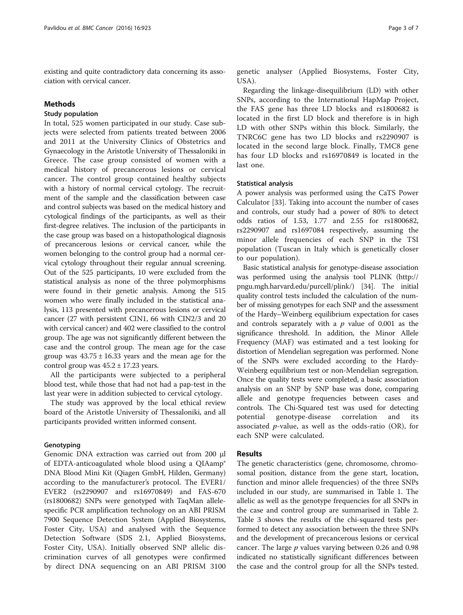existing and quite contradictory data concerning its association with cervical cancer.

#### Methods

# Study population

In total, 525 women participated in our study. Case subjects were selected from patients treated between 2006 and 2011 at the University Clinics of Obstetrics and Gynaecology in the Aristotle University of Thessaloniki in Greece. The case group consisted of women with a medical history of precancerous lesions or cervical cancer. The control group contained healthy subjects with a history of normal cervical cytology. The recruitment of the sample and the classification between case and control subjects was based on the medical history and cytological findings of the participants, as well as their first-degree relatives. The inclusion of the participants in the case group was based on a histopathological diagnosis of precancerous lesions or cervical cancer, while the women belonging to the control group had a normal cervical cytology throughout their regular annual screening. Out of the 525 participants, 10 were excluded from the statistical analysis as none of the three polymorphisms were found in their genetic analysis. Among the 515 women who were finally included in the statistical analysis, 113 presented with precancerous lesions or cervical cancer (27 with persistent CIN1, 66 with CIN2/3 and 20 with cervical cancer) and 402 were classified to the control group. The age was not significantly different between the case and the control group. The mean age for the case group was  $43.75 \pm 16.33$  years and the mean age for the control group was  $45.2 \pm 17.23$  years.

All the participants were subjected to a peripheral blood test, while those that had not had a pap-test in the last year were in addition subjected to cervical cytology.

The study was approved by the local ethical review board of the Aristotle University of Thessaloniki, and all participants provided written informed consent.

## **Genotyping**

Genomic DNA extraction was carried out from 200 μl of EDTA-anticoagulated whole blood using a QIAamp® DNA Blood Mini Kit (Qiagen GmbH, Hilden, Germany) according to the manufacturer's protocol. The EVER1/ EVER2 (rs2290907 and rs16970849) and FAS-670 (rs1800682) SNPs were genotyped with TaqMan allelespecific PCR amplification technology on an ABI PRISM 7900 Sequence Detection System (Applied Biosystems, Foster City, USA) and analysed with the Sequence Detection Software (SDS 2.1, Applied Biosystems, Foster City, USA). Initially observed SNP allelic discrimination curves of all genotypes were confirmed by direct DNA sequencing on an ABI PRISM 3100 genetic analyser (Applied Biosystems, Foster City, USA).

Regarding the linkage-disequilibrium (LD) with other SNPs, according to the International HapMap Project, the FAS gene has three LD blocks and rs1800682 is located in the first LD block and therefore is in high LD with other SNPs within this block. Similarly, the TNRC6C gene has two LD blocks and rs2290907 is located in the second large block. Finally, TMC8 gene has four LD blocks and rs16970849 is located in the last one.

#### Statistical analysis

A power analysis was performed using the CaTS Power Calculator [\[33\]](#page-6-0). Taking into account the number of cases and controls, our study had a power of 80% to detect odds ratios of 1.53, 1.77 and 2.55 for rs1800682, rs2290907 and rs1697084 respectively, assuming the minor allele frequencies of each SNP in the TSI population (Tuscan in Italy which is genetically closer to our population).

Basic statistical analysis for genotype-disease association was performed using the analysis tool PLINK ([http://](http://pngu.mgh.harvard.edu/purcell/plink/) [pngu.mgh.harvard.edu/purcell/plink/\)](http://pngu.mgh.harvard.edu/purcell/plink/) [[34](#page-6-0)]. The initial quality control tests included the calculation of the number of missing genotypes for each SNP and the assessment of the Hardy–Weinberg equilibrium expectation for cases and controls separately with a  $p$  value of 0.001 as the significance threshold. In addition, the Minor Allele Frequency (MAF) was estimated and a test looking for distortion of Mendelian segregation was performed. None of the SNPs were excluded according to the Hardy-Weinberg equilibrium test or non-Mendelian segregation. Once the quality tests were completed, a basic association analysis on an SNP by SNP base was done, comparing allele and genotype frequencies between cases and controls. The Chi-Squared test was used for detecting potential genotype-disease correlation and its associated  $p$ -value, as well as the odds-ratio (OR), for each SNP were calculated.

### Results

The genetic characteristics (gene, chromosome, chromosomal position, distance from the gene start, location, function and minor allele frequencies) of the three SNPs included in our study, are summarised in Table [1](#page-3-0). The allelic as well as the genotype frequencies for all SNPs in the case and control group are summarised in Table [2](#page-3-0). Table [3](#page-4-0) shows the results of the chi-squared tests performed to detect any association between the three SNPs and the development of precancerous lesions or cervical cancer. The large  $p$  values varying between 0.26 and 0.98 indicated no statistically significant differences between the case and the control group for all the SNPs tested.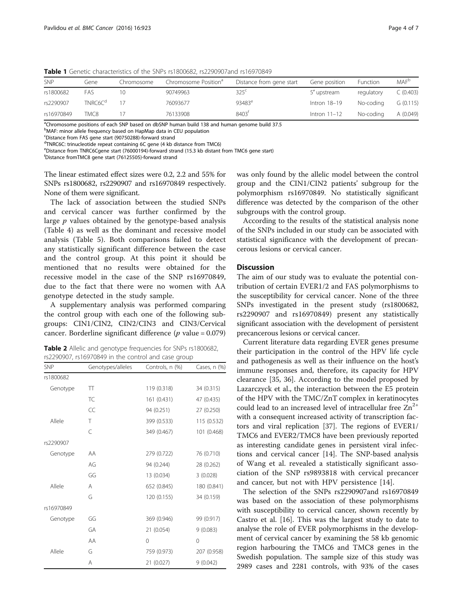| SNP        | Gene                | Chromosome | Chromosome Position <sup>ª</sup> | Distance from gene start | Gene position  | <b>Function</b> | <b>MAF</b> <sup>b</sup> |
|------------|---------------------|------------|----------------------------------|--------------------------|----------------|-----------------|-------------------------|
| rs1800682  | FAS                 |            | 90749963                         | $325^{\circ}$            | 5' upstream    | regulatory      | C(0.403)                |
| rs2290907  | TNRC6C <sup>d</sup> |            | 76093677                         | 93483 <sup>e</sup>       | Intron 18-19   | No-codina       | G(0.115)                |
| rs16970849 | TMC8                |            | 76133908                         | 8403 <sup>t</sup>        | Intron $11-12$ | No-codina       | A (0.049)               |

<span id="page-3-0"></span>Table 1 Genetic characteristics of the SNPs rs1800682, rs2290907and rs16970849

<sup>a</sup>Chromosome positions of each SNP based on dbSNP human build 138 and human genome build 37.5

<sup>b</sup>MAF: minor allele frequency based on HapMap data in CEU population

<sup>c</sup>Distance from FAS gene start (90750288)-forward strand

<sup>d</sup>TNRC6C: trinucleotide repeat containing 6C gene (4 kb distance from TMC6)

<sup>e</sup>Distance from TNRC6Cgene start (76000194)-forward strand (15.3 kb distant from TMC6 gene start)

f Distance fromTMC8 gene start (76125505)-forward strand

The linear estimated effect sizes were 0.2, 2.2 and 55% for SNPs rs1800682, rs2290907 and rs16970849 respectively. None of them were significant.

The lack of association between the studied SNPs and cervical cancer was further confirmed by the large  $p$  values obtained by the genotype-based analysis (Table [4](#page-4-0)) as well as the dominant and recessive model analysis (Table [5](#page-5-0)). Both comparisons failed to detect any statistically significant difference between the case and the control group. At this point it should be mentioned that no results were obtained for the recessive model in the case of the SNP rs16970849, due to the fact that there were no women with AA genotype detected in the study sample.

A supplementary analysis was performed comparing the control group with each one of the following subgroups: CIN1/CIN2, CIN2/CIN3 and CIN3/Cervical cancer. Borderline significant difference ( $p$  value = 0.079)

| <b>Table 2</b> Allelic and genotype frequencies for SNPs rs1800682, |  |
|---------------------------------------------------------------------|--|
| rs2290907, rs16970849 in the control and case group                 |  |

| SNP        | Genotypes/alleles | Controls, n (%) | Cases, n (%) |
|------------|-------------------|-----------------|--------------|
| rs1800682  |                   |                 |              |
| Genotype   | TT                | 119 (0.318)     | 34 (0.315)   |
|            | <b>TC</b>         | 161 (0.431)     | 47 (0.435)   |
|            | CC                | 94 (0.251)      | 27 (0.250)   |
| Allele     | Τ                 | 399 (0.533)     | 115 (0.532)  |
|            | $\overline{C}$    | 349 (0.467)     | 101 (0.468)  |
| rs2290907  |                   |                 |              |
| Genotype   | AA                | 279 (0.722)     | 76 (0.710)   |
|            | AG                | 94 (0.244)      | 28 (0.262)   |
|            | GG                | 13 (0.034)      | 3(0.028)     |
| Allele     | A                 | 652 (0.845)     | 180 (0.841)  |
|            | G                 | 120 (0.155)     | 34 (0.159)   |
| rs16970849 |                   |                 |              |
| Genotype   | GG                | 369 (0.946)     | 99 (0.917)   |
|            | GA                | 21 (0.054)      | 9(0.083)     |
|            | AA                | $\mathbf 0$     | 0            |
| Allele     | G                 | 759 (0.973)     | 207 (0.958)  |
|            | Α                 | 21 (0.027)      | 9(0.042)     |

was only found by the allelic model between the control group and the CIN1/CIN2 patients' subgroup for the polymorphism rs16970849. No statistically significant difference was detected by the comparison of the other subgroups with the control group.

According to the results of the statistical analysis none of the SNPs included in our study can be associated with statistical significance with the development of precancerous lesions or cervical cancer.

#### **Discussion**

The aim of our study was to evaluate the potential contribution of certain EVER1/2 and FAS polymorphisms to the susceptibility for cervical cancer. None of the three SNPs investigated in the present study (rs1800682, rs2290907 and rs16970849) present any statistically significant association with the development of persistent precancerous lesions or cervical cancer.

Current literature data regarding EVER genes presume their participation in the control of the HPV life cycle and pathogenesis as well as their influence on the host's immune responses and, therefore, its capacity for HPV clearance [[35](#page-6-0), [36\]](#page-6-0). According to the model proposed by Lazarczyck et al., the interaction between the E5 protein of the HPV with the TMC/ZnT complex in keratinocytes could lead to an increased level of intracellular free  $Zn^{2+}$ with a consequent increased activity of transcription factors and viral replication [[37](#page-6-0)]. The regions of EVER1/ TMC6 and EVER2/TMC8 have been previously reported as interesting candidate genes in persistent viral infections and cervical cancer [\[14](#page-6-0)]. The SNP-based analysis of Wang et al. revealed a statistically significant association of the SNP rs9893818 with cervical precancer and cancer, but not with HPV persistence [[14](#page-6-0)].

The selection of the SNPs rs2290907and rs16970849 was based on the association of these polymorphisms with susceptibility to cervical cancer, shown recently by Castro et al. [\[16](#page-6-0)]. This was the largest study to date to analyse the role of EVER polymorphisms in the development of cervical cancer by examining the 58 kb genomic region harbouring the TMC6 and TMC8 genes in the Swedish population. The sample size of this study was 2989 cases and 2281 controls, with 93% of the cases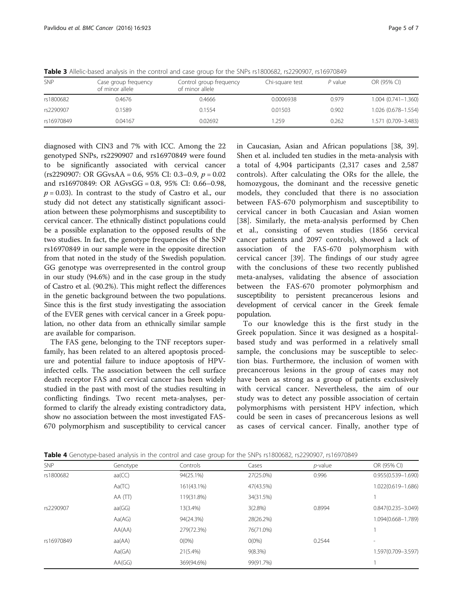<span id="page-4-0"></span>Table 3 Allelic-based analysis in the control and case group for the SNPs rs1800682, rs2290907, rs16970849

| SNP        | Case group frequency<br>of minor allele | Control group frequency<br>of minor allele | Chi-square test | $P$ value | OR (95% CI)               |
|------------|-----------------------------------------|--------------------------------------------|-----------------|-----------|---------------------------|
| rs1800682  | 0.4676                                  | 0.4666                                     | 0.0006938       | 0.979     | $1.004$ $(0.741 - 1.360)$ |
| rs2290907  | 0.1589                                  | 0.1554                                     | 0.01503         | 0.902     | 1.026 (0.678-1.554)       |
| rs16970849 | 0.04167                                 | 0.02692                                    | 1.259           | 0.262     | 1.571 (0.709-3.483)       |

diagnosed with CIN3 and 7% with ICC. Among the 22 genotyped SNPs, rs2290907 and rs16970849 were found to be significantly associated with cervical cancer  $(rs2290907: \text{OR GGvsAA} = 0.6, 95\% \text{ CI: } 0.3-0.9, p = 0.02$ and rs16970849: OR AGvsGG = 0.8, 95% CI: 0.66–0.98,  $p = 0.03$ ). In contrast to the study of Castro et al., our study did not detect any statistically significant association between these polymorphisms and susceptibility to cervical cancer. The ethnically distinct populations could be a possible explanation to the opposed results of the two studies. In fact, the genotype frequencies of the SNP rs16970849 in our sample were in the opposite direction from that noted in the study of the Swedish population. GG genotype was overrepresented in the control group in our study (94.6%) and in the case group in the study of Castro et al. (90.2%). This might reflect the differences in the genetic background between the two populations. Since this is the first study investigating the association of the EVER genes with cervical cancer in a Greek population, no other data from an ethnically similar sample are available for comparison.

The FAS gene, belonging to the TNF receptors superfamily, has been related to an altered apoptosis procedure and potential failure to induce apoptosis of HPVinfected cells. The association between the cell surface death receptor FAS and cervical cancer has been widely studied in the past with most of the studies resulting in conflicting findings. Two recent meta-analyses, performed to clarify the already existing contradictory data, show no association between the most investigated FAS-670 polymorphism and susceptibility to cervical cancer in Caucasian, Asian and African populations [\[38](#page-6-0), [39](#page-6-0)]. Shen et al. included ten studies in the meta-analysis with a total of 4,904 participants (2,317 cases and 2,587 controls). After calculating the ORs for the allele, the homozygous, the dominant and the recessive genetic models, they concluded that there is no association between FAS-670 polymorphism and susceptibility to cervical cancer in both Caucasian and Asian women [[38](#page-6-0)]. Similarly, the meta-analysis performed by Chen et al., consisting of seven studies (1856 cervical cancer patients and 2097 controls), showed a lack of association of the FAS-670 polymorphism with cervical cancer [[39](#page-6-0)]. The findings of our study agree with the conclusions of these two recently published meta-analyses, validating the absence of association between the FAS-670 promoter polymorphism and susceptibility to persistent precancerous lesions and development of cervical cancer in the Greek female population.

To our knowledge this is the first study in the Greek population. Since it was designed as a hospitalbased study and was performed in a relatively small sample, the conclusions may be susceptible to selection bias. Furthermore, the inclusion of women with precancerous lesions in the group of cases may not have been as strong as a group of patients exclusively with cervical cancer. Nevertheless, the aim of our study was to detect any possible association of certain polymorphisms with persistent HPV infection, which could be seen in cases of precancerous lesions as well as cases of cervical cancer. Finally, another type of

| <b>SNP</b> | Genotype | Controls   | Cases      | $p$ -value | OR (95% CI)            |
|------------|----------|------------|------------|------------|------------------------|
| rs1800682  | aa(CC)   | 94(25.1%)  | 27(25.0%)  | 0.996      | $0.955(0.539 - 1.690)$ |
|            | Aa(TC)   | 161(43.1%) | 47(43.5%)  |            | 1.022(0.619-1.686)     |
|            | AA(TT)   | 119(31.8%) | 34(31.5%)  |            |                        |
| rs2290907  | aa(GG)   | 13(3.4%)   | $3(2.8\%)$ | 0.8994     | $0.847(0.235 - 3.049)$ |
|            | Aa(AG)   | 94(24.3%)  | 28(26.2%)  |            | 1.094(0.668-1.789)     |
|            | AA(AA)   | 279(72.3%) | 76(71.0%)  |            |                        |
| rs16970849 | aa(AA)   | $O(0\%)$   | $0(0\%)$   | 0.2544     | ۰                      |
|            | Aa(GA)   | 21(5.4%)   | $9(8.3\%)$ |            | 1.597(0.709-3.597)     |
|            | AA(GG)   | 369(94.6%) | 99(91.7%)  |            |                        |
|            |          |            |            |            |                        |

Table 4 Genotype-based analysis in the control and case group for the SNPs rs1800682, rs2290907, rs16970849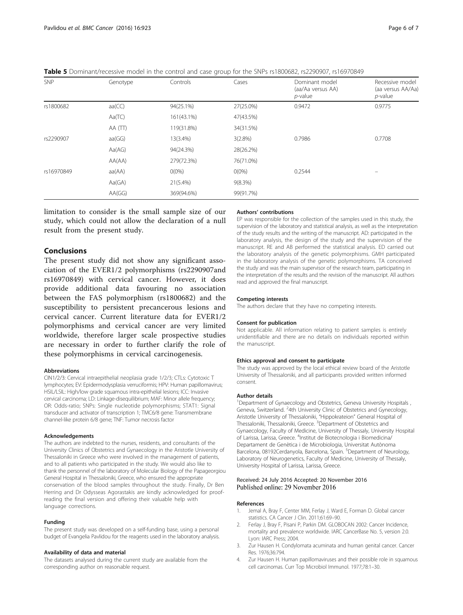| <b>SNP</b> | Genotype | Controls   | Cases      | Dominant model<br>(aa/Aa versus AA)<br>$p$ -value | Recessive model<br>(aa versus AA/Aa)<br>$p$ -value |
|------------|----------|------------|------------|---------------------------------------------------|----------------------------------------------------|
| rs1800682  | aa(CC)   | 94(25.1%)  | 27(25.0%)  | 0.9472                                            | 0.9775                                             |
|            | Aa(TC)   | 161(43.1%) | 47(43.5%)  |                                                   |                                                    |
|            | AA (TT)  | 119(31.8%) | 34(31.5%)  |                                                   |                                                    |
| rs2290907  | aa(GG)   | 13(3.4%)   | $3(2.8\%)$ | 0.7986                                            | 0.7708                                             |
|            | Aa(AG)   | 94(24.3%)  | 28(26.2%)  |                                                   |                                                    |
|            | AA(AA)   | 279(72.3%) | 76(71.0%)  |                                                   |                                                    |
| rs16970849 | aa(AA)   | $O(0\%)$   | $O(0\%)$   | 0.2544                                            |                                                    |
|            | Aa(GA)   | 21(5.4%)   | $9(8.3\%)$ |                                                   |                                                    |
|            | AA(GG)   | 369(94.6%) | 99(91.7%)  |                                                   |                                                    |

<span id="page-5-0"></span>Table 5 Dominant/recessive model in the control and case group for the SNPs rs1800682, rs2290907, rs16970849

limitation to consider is the small sample size of our study, which could not allow the declaration of a null result from the present study.

# Conclusions

The present study did not show any significant association of the EVER1/2 polymorphisms (rs2290907and rs16970849) with cervical cancer. However, it does provide additional data favouring no association between the FAS polymorphism (rs1800682) and the susceptibility to persistent precancerous lesions and cervical cancer. Current literature data for EVER1/2 polymorphisms and cervical cancer are very limited worldwide, therefore larger scale prospective studies are necessary in order to further clarify the role of these polymorphisms in cervical carcinogenesis.

#### Abbreviations

CIN1/2/3: Cervical intraepithelial neoplasia grade 1/2/3; CTLs: Cytotoxic T lymphocytes; EV: Epidermodysplasia verruciformis; HPV: Human papillomavirus; HSIL/LSIL: High/low grade squamous intra-epithelial lesions; ICC: Invasive cervical carcinoma; LD: Linkage-disequilibrium; MAF: Minor allele frequency; OR: Odds-ratio; SNPs: Single nucleotide polymorphisms; STAT1: Signal transducer and activator of transcription 1; TMC6/8 gene: Transmembrane channel-like protein 6/8 gene; TNF: Tumor necrosis factor

#### Acknowledgements

The authors are indebted to the nurses, residents, and consultants of the University Clinics of Obstetrics and Gynaecology in the Aristotle University of Thessaloniki in Greece who were involved in the management of patients, and to all patients who participated in the study. We would also like to thank the personnel of the laboratory of Molecular Biology of the Papageorgiou General Hospital in Thessaloniki, Greece, who ensured the appropriate conservation of the blood samples throughout the study. Finally, Dr Ben Herring and Dr Odysseas Agorastakis are kindly acknowledged for proofreading the final version and offering their valuable help with language corrections.

#### Funding

The present study was developed on a self-funding base, using a personal budget of Evangelia Pavlidou for the reagents used in the laboratory analysis.

#### Availability of data and material

The datasets analysed during the current study are available from the corresponding author on reasonable request.

#### Authors' contributions

EP was responsible for the collection of the samples used in this study, the supervision of the laboratory and statistical analysis, as well as the interpretation of the study results and the writing of the manuscript. AD: participated in the laboratory analysis, the design of the study and the supervision of the manuscript. RE and AB performed the statistical analysis. ED carried out the laboratory analysis of the genetic polymorphisms. GMH participated in the laboratory analysis of the genetic polymorphisms. TA conceived the study and was the main supervisor of the research team, participating in the interpretation of the results and the revision of the manuscript. All authors read and approved the final manuscript.

#### Competing interests

The authors declare that they have no competing interests.

#### Consent for publication

Not applicable. All information relating to patient samples is entirely unidentifiable and there are no details on individuals reported within the manuscript.

#### Ethics approval and consent to participate

The study was approved by the local ethical review board of the Aristotle University of Thessaloniki, and all participants provided written informed consent.

#### Author details

<sup>1</sup>Department of Gynaecology and Obstetrics, Geneva University Hospitals Geneva, Switzerland. <sup>2</sup>4th University Clinic of Obstetrics and Gynecology, Aristotle University of Thessaloniki, "Hippokrateion" General Hospital of Thessaloniki, Thessaloniki, Greece. <sup>3</sup>Department of Obstetrics and Gynaecology, Faculty of Medicine, University of Thessaly, University Hospital of Larissa, Larissa, Greece. <sup>4</sup>Institut de Biotecnologia i Biomedicina/ Departament de Genètica i de Microbiologia, Universitat Autònoma Barcelona, 08192Cerdanyola, Barcelona, Spain. <sup>5</sup>Department of Neurology Laboratory of Neurogenetics, Faculty of Medicine, University of Thessaly, University Hospital of Larissa, Larissa, Greece.

#### Received: 24 July 2016 Accepted: 20 November 2016 Published online: 29 November 2016

#### References

- 1. Jemal A, Bray F, Center MM, Ferlay J, Ward E, Forman D. Global cancer statistics. CA Cancer J Clin. 2011;61:69–90.
- 2. Ferlay J, Bray F, Pisani P, Parkin DM. GLOBOCAN 2002: Cancer Incidence, mortality and prevalence worldwide. IARC CancerBase No. 5, version 2.0. Lyon: IARC Press; 2004.
- 3. Zur Hausen H. Condylomata acuminata and human genital cancer. Cancer Res. 1976;36:794.
- 4. Zur Hausen H. Human papillomaviruses and their possible role in squamous cell carcinomas. Curr Top Microbiol Immunol. 1977;78:1–30.